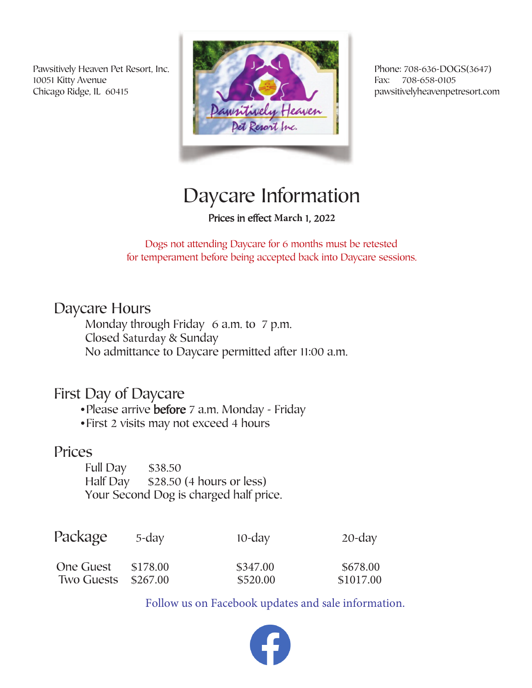Pawsitively Heaven Pet Resort, Inc. 10051 Kitty Avenue Chicago Ridge, IL 60415



Phone: 708-636-DOGS(3647) Fax: 708-658-0105 pawsitivelyheavenpetresort.com

# Daycare Information

Prices in effect March 1, 2022

Dogs not attending Daycare for 6 months must be retested for temperament before being accepted back into Daycare sessions.

### Daycare Hours

Monday through Friday 6 a.m. to 7 p.m. Closed Saturday & Sunday No admittance to Daycare permitted after 11:00 a.m.

### First Day of Daycare

- Please arrive before 7 a.m. Monday Friday
- •First 2 visits may not exceed 4 hours

#### Prices

Full Day \$38.50 Half Day \$28.50 (4 hours or less) Your Second Dog is charged half price.

| Package             | $5$ -day | $10$ -day | $20$ -day |
|---------------------|----------|-----------|-----------|
| One Guest \$178,00  |          | \$347.00  | \$678.00  |
| Two Guests \$267.00 |          | \$520.00  | \$1017.00 |

Follow us on Facebook updates and sale information.